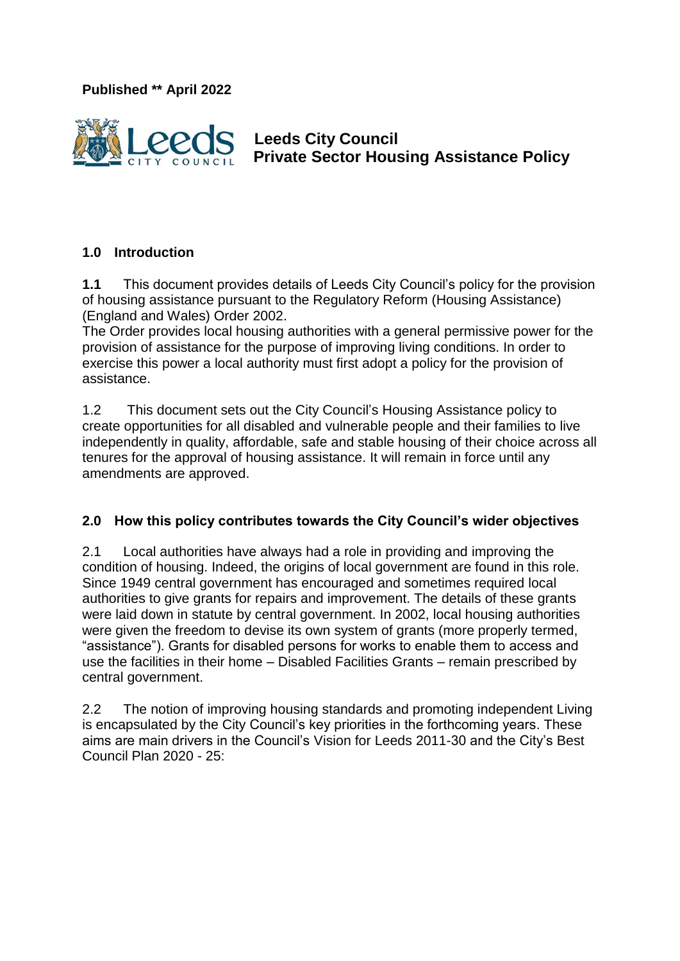**Published \*\* April 2022**



 **Leeds City Council Private Sector Housing Assistance Policy** 

### **1.0 Introduction**

**1.1** This document provides details of Leeds City Council's policy for the provision of housing assistance pursuant to the Regulatory Reform (Housing Assistance) (England and Wales) Order 2002.

The Order provides local housing authorities with a general permissive power for the provision of assistance for the purpose of improving living conditions. In order to exercise this power a local authority must first adopt a policy for the provision of assistance.

1.2 This document sets out the City Council's Housing Assistance policy to create opportunities for all disabled and vulnerable people and their families to live independently in quality, affordable, safe and stable housing of their choice across all tenures for the approval of housing assistance. It will remain in force until any amendments are approved.

#### **2.0 How this policy contributes towards the City Council's wider objectives**

2.1 Local authorities have always had a role in providing and improving the condition of housing. Indeed, the origins of local government are found in this role. Since 1949 central government has encouraged and sometimes required local authorities to give grants for repairs and improvement. The details of these grants were laid down in statute by central government. In 2002, local housing authorities were given the freedom to devise its own system of grants (more properly termed, "assistance"). Grants for disabled persons for works to enable them to access and use the facilities in their home – Disabled Facilities Grants – remain prescribed by central government.

2.2 The notion of improving housing standards and promoting independent Living is encapsulated by the City Council's key priorities in the forthcoming years. These aims are main drivers in the Council's Vision for Leeds 2011-30 and the City's Best Council Plan 2020 - 25: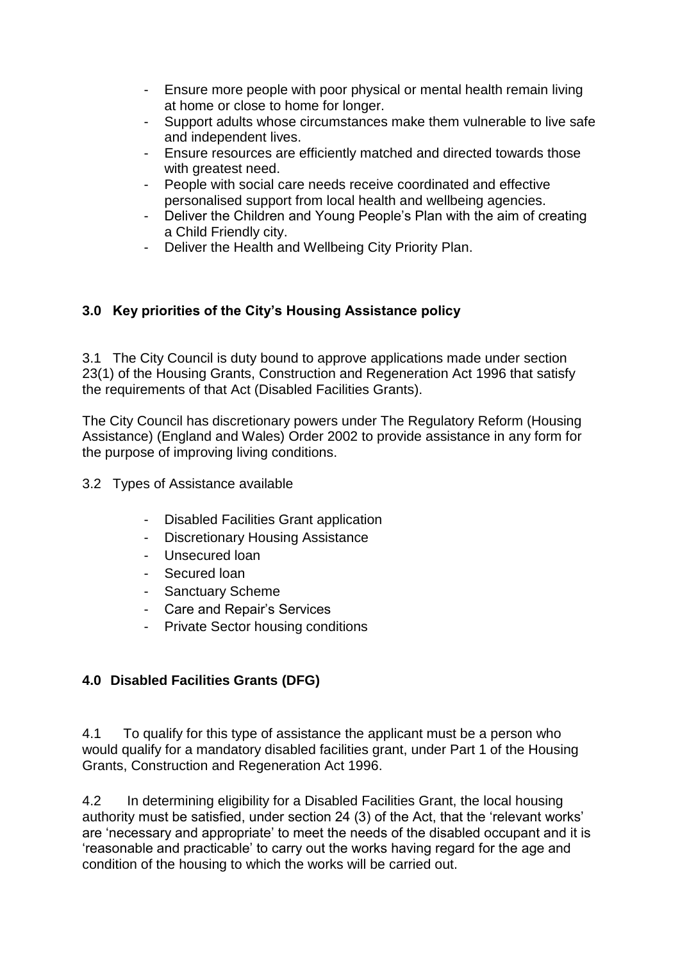- Ensure more people with poor physical or mental health remain living at home or close to home for longer.
- Support adults whose circumstances make them vulnerable to live safe and independent lives.
- Ensure resources are efficiently matched and directed towards those with greatest need.
- People with social care needs receive coordinated and effective personalised support from local health and wellbeing agencies.
- Deliver the Children and Young People's Plan with the aim of creating a Child Friendly city.
- Deliver the Health and Wellbeing City Priority Plan.

## **3.0 Key priorities of the City's Housing Assistance policy**

3.1 The City Council is duty bound to approve applications made under section 23(1) of the Housing Grants, Construction and Regeneration Act 1996 that satisfy the requirements of that Act (Disabled Facilities Grants).

The City Council has discretionary powers under The Regulatory Reform (Housing Assistance) (England and Wales) Order 2002 to provide assistance in any form for the purpose of improving living conditions.

3.2 Types of Assistance available

- Disabled Facilities Grant application
- Discretionary Housing Assistance
- Unsecured loan
- Secured loan
- Sanctuary Scheme
- Care and Repair's Services
- Private Sector housing conditions

# **4.0 Disabled Facilities Grants (DFG)**

4.1 To qualify for this type of assistance the applicant must be a person who would qualify for a mandatory disabled facilities grant, under Part 1 of the Housing Grants, Construction and Regeneration Act 1996.

4.2 In determining eligibility for a Disabled Facilities Grant, the local housing authority must be satisfied, under section 24 (3) of the Act, that the 'relevant works' are 'necessary and appropriate' to meet the needs of the disabled occupant and it is 'reasonable and practicable' to carry out the works having regard for the age and condition of the housing to which the works will be carried out.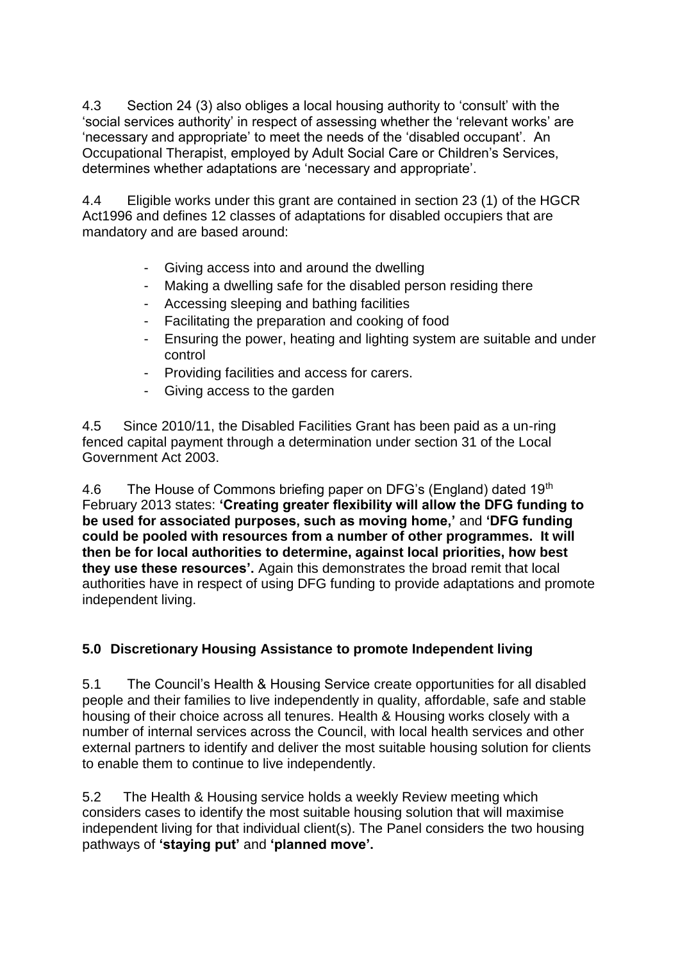4.3 Section 24 (3) also obliges a local housing authority to 'consult' with the 'social services authority' in respect of assessing whether the 'relevant works' are 'necessary and appropriate' to meet the needs of the 'disabled occupant'. An Occupational Therapist, employed by Adult Social Care or Children's Services, determines whether adaptations are 'necessary and appropriate'.

4.4 Eligible works under this grant are contained in section 23 (1) of the HGCR Act1996 and defines 12 classes of adaptations for disabled occupiers that are mandatory and are based around:

- Giving access into and around the dwelling
- Making a dwelling safe for the disabled person residing there
- Accessing sleeping and bathing facilities
- Facilitating the preparation and cooking of food
- Ensuring the power, heating and lighting system are suitable and under control
- Providing facilities and access for carers.
- Giving access to the garden

4.5 Since 2010/11, the Disabled Facilities Grant has been paid as a un-ring fenced capital payment through a determination under section 31 of the Local Government Act 2003.

4.6 The House of Commons briefing paper on DFG's (England) dated 19<sup>th</sup> February 2013 states: **'Creating greater flexibility will allow the DFG funding to be used for associated purposes, such as moving home,'** and **'DFG funding could be pooled with resources from a number of other programmes. It will then be for local authorities to determine, against local priorities, how best they use these resources'.** Again this demonstrates the broad remit that local authorities have in respect of using DFG funding to provide adaptations and promote independent living.

## **5.0 Discretionary Housing Assistance to promote Independent living**

5.1 The Council's Health & Housing Service create opportunities for all disabled people and their families to live independently in quality, affordable, safe and stable housing of their choice across all tenures. Health & Housing works closely with a number of internal services across the Council, with local health services and other external partners to identify and deliver the most suitable housing solution for clients to enable them to continue to live independently.

5.2 The Health & Housing service holds a weekly Review meeting which considers cases to identify the most suitable housing solution that will maximise independent living for that individual client(s). The Panel considers the two housing pathways of **'staying put'** and **'planned move'.**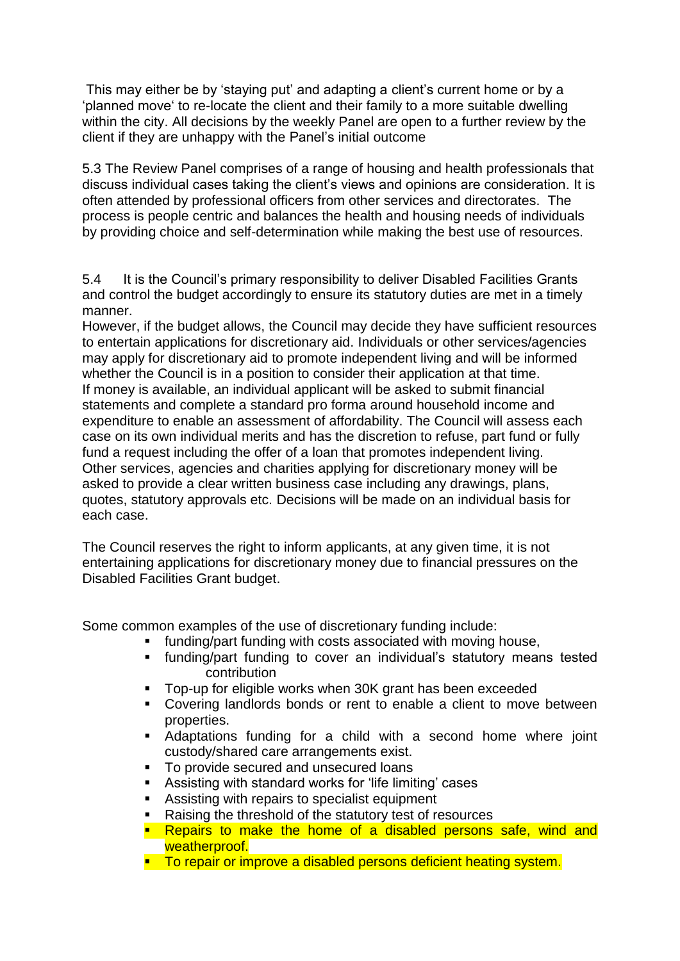This may either be by 'staying put' and adapting a client's current home or by a 'planned move' to re-locate the client and their family to a more suitable dwelling within the city. All decisions by the weekly Panel are open to a further review by the client if they are unhappy with the Panel's initial outcome

5.3 The Review Panel comprises of a range of housing and health professionals that discuss individual cases taking the client's views and opinions are consideration. It is often attended by professional officers from other services and directorates. The process is people centric and balances the health and housing needs of individuals by providing choice and self-determination while making the best use of resources.

5.4 It is the Council's primary responsibility to deliver Disabled Facilities Grants and control the budget accordingly to ensure its statutory duties are met in a timely manner.

However, if the budget allows, the Council may decide they have sufficient resources to entertain applications for discretionary aid. Individuals or other services/agencies may apply for discretionary aid to promote independent living and will be informed whether the Council is in a position to consider their application at that time. If money is available, an individual applicant will be asked to submit financial statements and complete a standard pro forma around household income and expenditure to enable an assessment of affordability. The Council will assess each case on its own individual merits and has the discretion to refuse, part fund or fully fund a request including the offer of a loan that promotes independent living. Other services, agencies and charities applying for discretionary money will be asked to provide a clear written business case including any drawings, plans, quotes, statutory approvals etc. Decisions will be made on an individual basis for each case.

The Council reserves the right to inform applicants, at any given time, it is not entertaining applications for discretionary money due to financial pressures on the Disabled Facilities Grant budget.

Some common examples of the use of discretionary funding include:

- **funding/part funding with costs associated with moving house,**
- funding/part funding to cover an individual's statutory means tested contribution
- Top-up for eligible works when 30K grant has been exceeded
- Covering landlords bonds or rent to enable a client to move between properties.
- Adaptations funding for a child with a second home where joint custody/shared care arrangements exist.
- To provide secured and unsecured loans
- Assisting with standard works for 'life limiting' cases
- **Assisting with repairs to specialist equipment**
- Raising the threshold of the statutory test of resources
- **Repairs to make the home of a disabled persons safe, wind and** weatherproof.
- **To repair or improve a disabled persons deficient heating system.**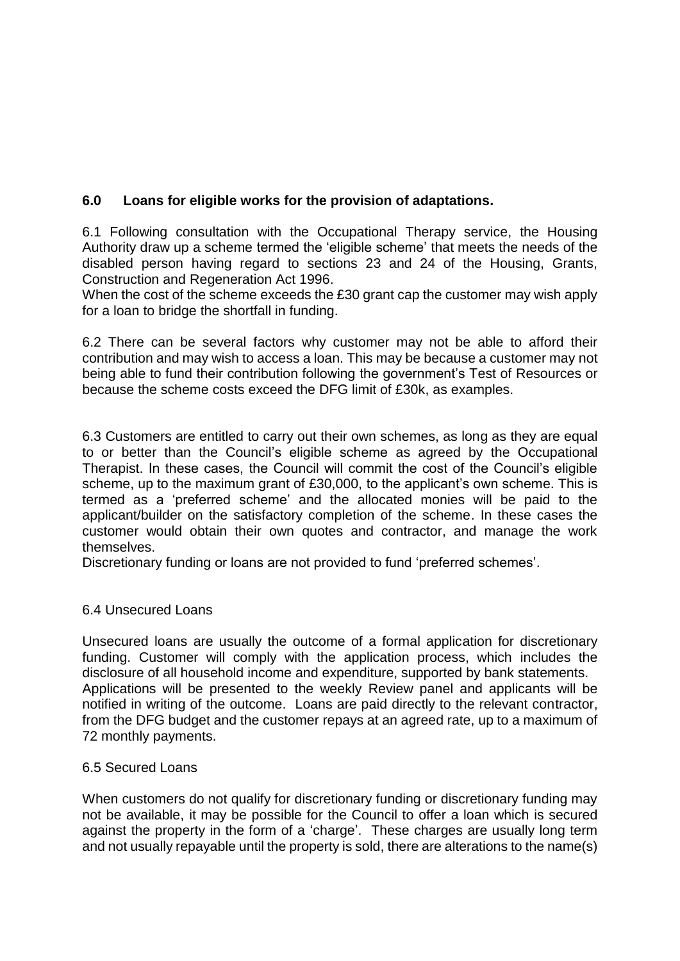## **6.0 Loans for eligible works for the provision of adaptations.**

6.1 Following consultation with the Occupational Therapy service, the Housing Authority draw up a scheme termed the 'eligible scheme' that meets the needs of the disabled person having regard to sections 23 and 24 of the Housing, Grants, Construction and Regeneration Act 1996.

When the cost of the scheme exceeds the £30 grant cap the customer may wish apply for a loan to bridge the shortfall in funding.

6.2 There can be several factors why customer may not be able to afford their contribution and may wish to access a loan. This may be because a customer may not being able to fund their contribution following the government's Test of Resources or because the scheme costs exceed the DFG limit of £30k, as examples.

6.3 Customers are entitled to carry out their own schemes, as long as they are equal to or better than the Council's eligible scheme as agreed by the Occupational Therapist. In these cases, the Council will commit the cost of the Council's eligible scheme, up to the maximum grant of £30,000, to the applicant's own scheme. This is termed as a 'preferred scheme' and the allocated monies will be paid to the applicant/builder on the satisfactory completion of the scheme. In these cases the customer would obtain their own quotes and contractor, and manage the work themselves.

Discretionary funding or loans are not provided to fund 'preferred schemes'.

#### 6.4 Unsecured Loans

Unsecured loans are usually the outcome of a formal application for discretionary funding. Customer will comply with the application process, which includes the disclosure of all household income and expenditure, supported by bank statements. Applications will be presented to the weekly Review panel and applicants will be notified in writing of the outcome. Loans are paid directly to the relevant contractor, from the DFG budget and the customer repays at an agreed rate, up to a maximum of 72 monthly payments.

#### 6.5 Secured Loans

When customers do not qualify for discretionary funding or discretionary funding may not be available, it may be possible for the Council to offer a loan which is secured against the property in the form of a 'charge'. These charges are usually long term and not usually repayable until the property is sold, there are alterations to the name(s)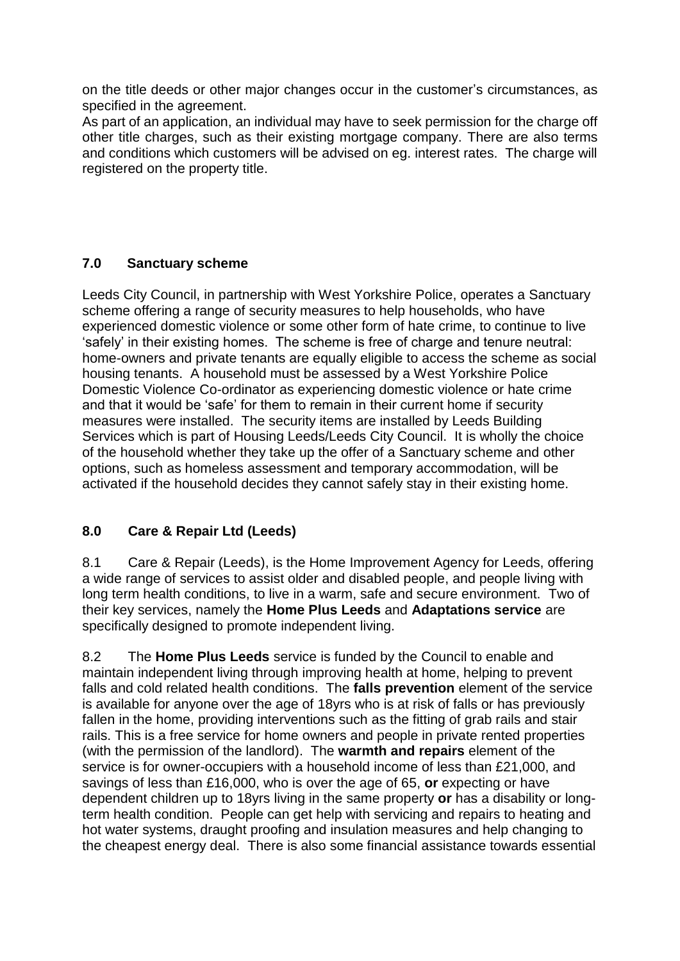on the title deeds or other major changes occur in the customer's circumstances, as specified in the agreement.

As part of an application, an individual may have to seek permission for the charge off other title charges, such as their existing mortgage company. There are also terms and conditions which customers will be advised on eg. interest rates. The charge will registered on the property title.

## **7.0 Sanctuary scheme**

Leeds City Council, in partnership with West Yorkshire Police, operates a Sanctuary scheme offering a range of security measures to help households, who have experienced domestic violence or some other form of hate crime, to continue to live 'safely' in their existing homes. The scheme is free of charge and tenure neutral: home-owners and private tenants are equally eligible to access the scheme as social housing tenants. A household must be assessed by a West Yorkshire Police Domestic Violence Co-ordinator as experiencing domestic violence or hate crime and that it would be 'safe' for them to remain in their current home if security measures were installed. The security items are installed by Leeds Building Services which is part of Housing Leeds/Leeds City Council. It is wholly the choice of the household whether they take up the offer of a Sanctuary scheme and other options, such as homeless assessment and temporary accommodation, will be activated if the household decides they cannot safely stay in their existing home.

# **8.0 Care & Repair Ltd (Leeds)**

8.1 Care & Repair (Leeds), is the Home Improvement Agency for Leeds, offering a wide range of services to assist older and disabled people, and people living with long term health conditions, to live in a warm, safe and secure environment. Two of their key services, namely the **Home Plus Leeds** and **Adaptations service** are specifically designed to promote independent living.

8.2 The **Home Plus Leeds** service is funded by the Council to enable and maintain independent living through improving health at home, helping to prevent falls and cold related health conditions. The **falls prevention** element of the service is available for anyone over the age of 18yrs who is at risk of falls or has previously fallen in the home, providing interventions such as the fitting of grab rails and stair rails. This is a free service for home owners and people in private rented properties (with the permission of the landlord). The **warmth and repairs** element of the service is for owner-occupiers with a household income of less than £21,000, and savings of less than £16,000, who is over the age of 65, **or** expecting or have dependent children up to 18yrs living in the same property **or** has a disability or longterm health condition. People can get help with servicing and repairs to heating and hot water systems, draught proofing and insulation measures and help changing to the cheapest energy deal. There is also some financial assistance towards essential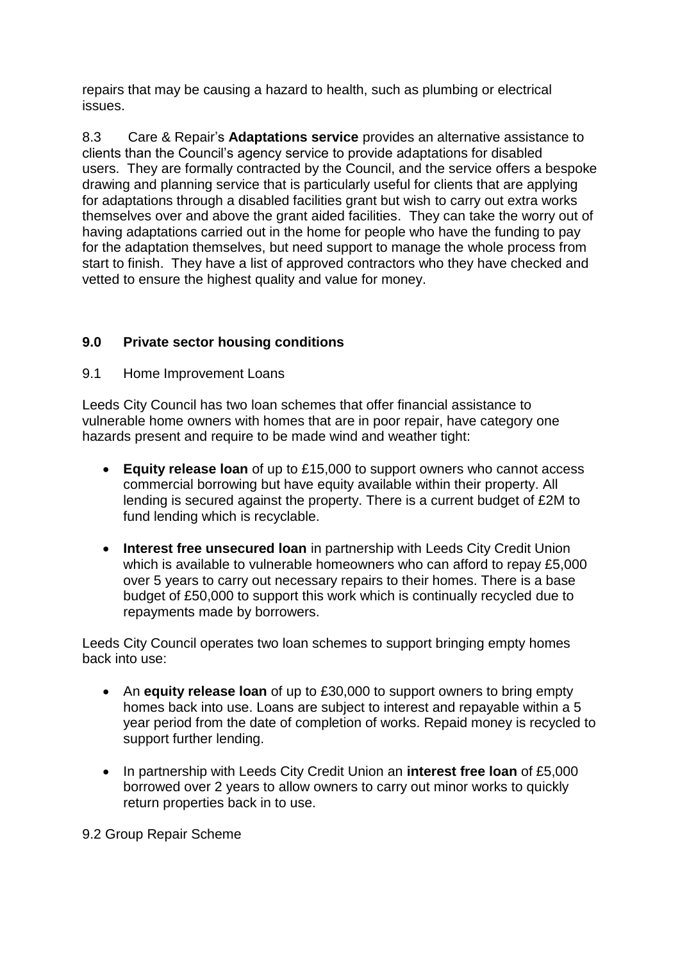repairs that may be causing a hazard to health, such as plumbing or electrical issues.

8.3 Care & Repair's **Adaptations service** provides an alternative assistance to clients than the Council's agency service to provide adaptations for disabled users. They are formally contracted by the Council, and the service offers a bespoke drawing and planning service that is particularly useful for clients that are applying for adaptations through a disabled facilities grant but wish to carry out extra works themselves over and above the grant aided facilities. They can take the worry out of having adaptations carried out in the home for people who have the funding to pay for the adaptation themselves, but need support to manage the whole process from start to finish. They have a list of approved contractors who they have checked and vetted to ensure the highest quality and value for money.

## **9.0 Private sector housing conditions**

### 9.1 Home Improvement Loans

Leeds City Council has two loan schemes that offer financial assistance to vulnerable home owners with homes that are in poor repair, have category one hazards present and require to be made wind and weather tight:

- **Equity release loan** of up to £15,000 to support owners who cannot access commercial borrowing but have equity available within their property. All lending is secured against the property. There is a current budget of £2M to fund lending which is recyclable.
- **Interest free unsecured loan** in partnership with Leeds City Credit Union which is available to vulnerable homeowners who can afford to repay £5,000 over 5 years to carry out necessary repairs to their homes. There is a base budget of £50,000 to support this work which is continually recycled due to repayments made by borrowers.

Leeds City Council operates two loan schemes to support bringing empty homes back into use:

- An **equity release loan** of up to £30,000 to support owners to bring empty homes back into use. Loans are subject to interest and repayable within a 5 year period from the date of completion of works. Repaid money is recycled to support further lending.
- In partnership with Leeds City Credit Union an **interest free loan** of £5,000 borrowed over 2 years to allow owners to carry out minor works to quickly return properties back in to use.

9.2 Group Repair Scheme